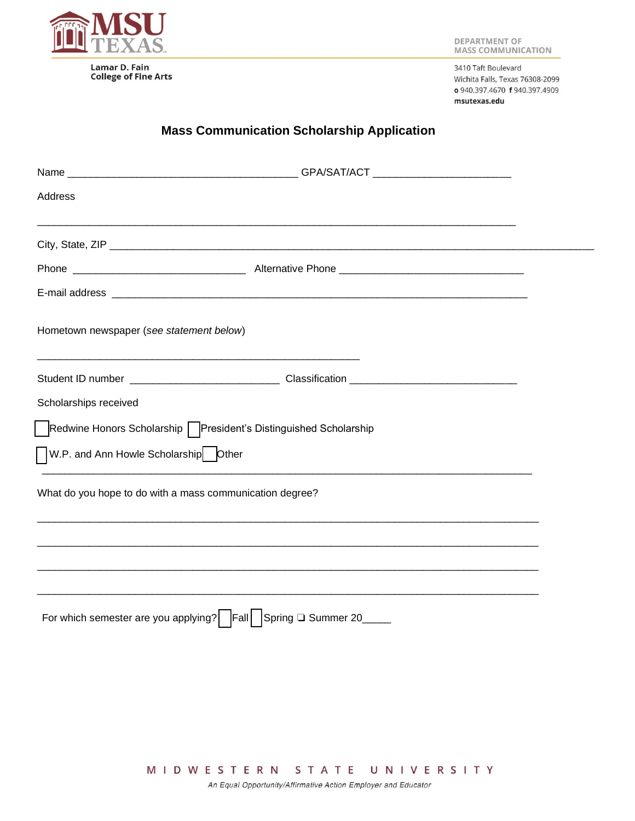

**College of Fine Arts** 

3410 Taft Boulevard Wichita Falls, Texas 76308-2099 o 940.397.4670 f 940.397.4909 msutexas.edu

## **Mass Communication Scholarship Application**

| <b>Address</b>                                                       |                                                                                                     |  |  |  |  |  |
|----------------------------------------------------------------------|-----------------------------------------------------------------------------------------------------|--|--|--|--|--|
|                                                                      |                                                                                                     |  |  |  |  |  |
|                                                                      |                                                                                                     |  |  |  |  |  |
|                                                                      |                                                                                                     |  |  |  |  |  |
|                                                                      |                                                                                                     |  |  |  |  |  |
| Hometown newspaper (see statement below)                             |                                                                                                     |  |  |  |  |  |
|                                                                      | Student ID number ___________________________________Classification _______________________________ |  |  |  |  |  |
| Scholarships received                                                |                                                                                                     |  |  |  |  |  |
| ◯Redwine Honors Scholarship ◯President's Distinguished Scholarship   |                                                                                                     |  |  |  |  |  |
| W.P. and Ann Howle Scholarship Other                                 |                                                                                                     |  |  |  |  |  |
| What do you hope to do with a mass communication degree?             |                                                                                                     |  |  |  |  |  |
|                                                                      |                                                                                                     |  |  |  |  |  |
|                                                                      |                                                                                                     |  |  |  |  |  |
|                                                                      |                                                                                                     |  |  |  |  |  |
| For which semester are you applying?   Fall   Spring Q Summer 20____ |                                                                                                     |  |  |  |  |  |
|                                                                      |                                                                                                     |  |  |  |  |  |

MIDWESTERN STATE UNIVERSITY

An Equal Opportunity/Affirmative Action Employer and Educator